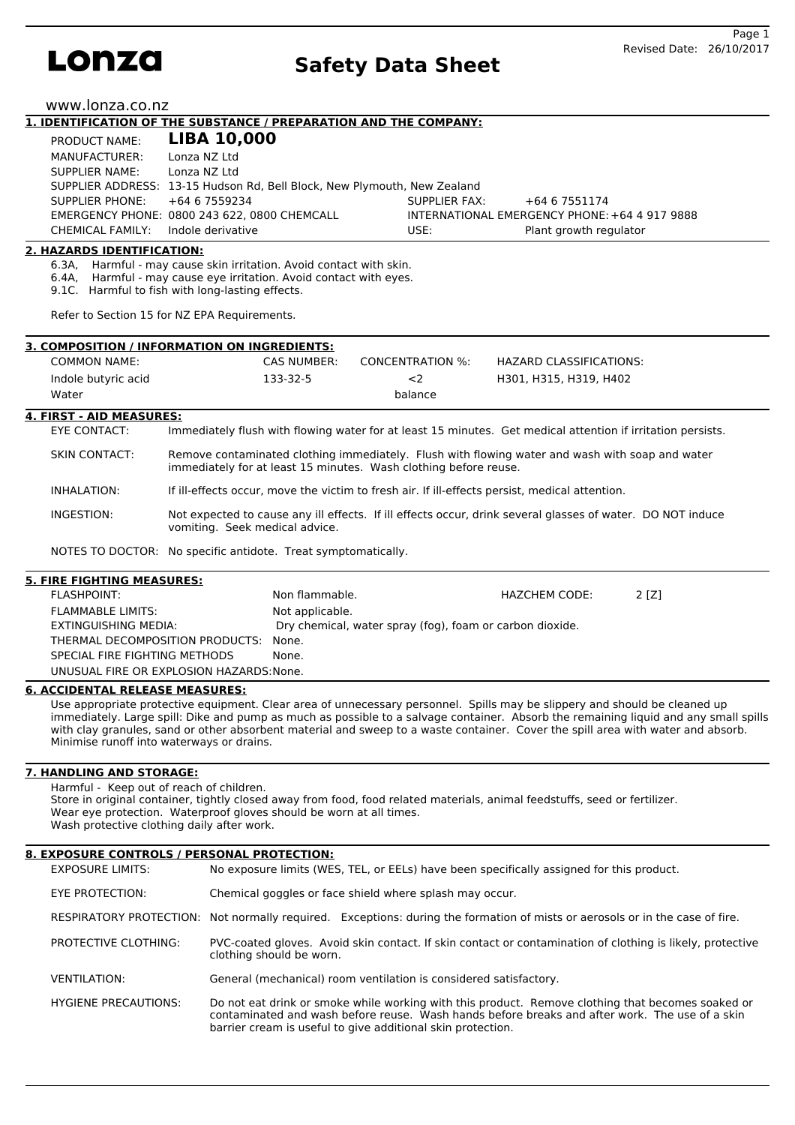

www.lonza.co.nz

#### **1. IDENTIFICATION OF THE SUBSTANCE / PREPARATION AND THE COMPANY: LIBA 10,000** PRODUCT NAME:

| MANUFACTURER:  |                                                                                                                                                                                                                                                                     |                                                                          |
|----------------|---------------------------------------------------------------------------------------------------------------------------------------------------------------------------------------------------------------------------------------------------------------------|--------------------------------------------------------------------------|
| SUPPLIER NAME: |                                                                                                                                                                                                                                                                     |                                                                          |
|                |                                                                                                                                                                                                                                                                     |                                                                          |
|                | SUPPLIER FAX:                                                                                                                                                                                                                                                       | +64 6 7551174                                                            |
|                |                                                                                                                                                                                                                                                                     | INTERNATIONAL EMERGENCY PHONE: +64 4 917 9888                            |
|                | USE:                                                                                                                                                                                                                                                                | Plant growth regulator                                                   |
|                | $F N U U U U H N N U E, \quad \blacksquare \blacksquare \blacksquare \blacksquare \blacksquare \blacksquare$<br>Lonza NZ Ltd<br>Lonza NZ Ltd<br>SUPPLIER PHONE: $+6467559234$<br>EMERGENCY PHONE: 0800 243 622, 0800 CHEMCALL<br>CHEMICAL FAMILY: Indole derivative | SUPPLIER ADDRESS: 13-15 Hudson Rd, Bell Block, New Plymouth, New Zealand |

# **2. HAZARDS IDENTIFICATION:**

6.3A, Harmful - may cause skin irritation. Avoid contact with skin.

Harmful - may cause eye irritation. Avoid contact with eyes.

9.1C. Harmful to fish with long-lasting effects.

Refer to Section 15 for NZ EPA Requirements.

| 3. COMPOSITION / INFORMATION ON INGREDIENTS: |             |                  |                         |  |  |
|----------------------------------------------|-------------|------------------|-------------------------|--|--|
| <b>COMMON NAME:</b>                          | CAS NUMBER: | CONCENTRATION %: | HAZARD CLASSIFICATIONS: |  |  |
| Indole butyric acid                          | 133-32-5    | <2               | H301, H315, H319, H402  |  |  |
| Water                                        |             | balance          |                         |  |  |

#### **4. FIRST - AID MEASURES:**

EYE CONTACT: Immediately flush with flowing water for at least 15 minutes. Get medical attention if irritation persists.

SKIN CONTACT: Remove contaminated clothing immediately. Flush with flowing water and wash with soap and water immediately for at least 15 minutes. Wash clothing before reuse.

INHALATION: If ill-effects occur, move the victim to fresh air. If ill-effects persist, medical attention.

INGESTION: Not expected to cause any ill effects. If ill effects occur, drink several glasses of water. DO NOT induce vomiting. Seek medical advice.

NOTES TO DOCTOR: No specific antidote. Treat symptomatically.

# **5. FIRE FIGHTING MEASURES:**

| FLASHPOINT:                              | Non flammable.                                           | HAZCHEM CODE: | 2 I Z I |
|------------------------------------------|----------------------------------------------------------|---------------|---------|
| <b>FLAMMABLE LIMITS:</b>                 | Not applicable.                                          |               |         |
| EXTINGUISHING MEDIA:                     | Dry chemical, water spray (fog), foam or carbon dioxide. |               |         |
| THERMAL DECOMPOSITION PRODUCTS:          | None.                                                    |               |         |
| SPECIAL FIRE FIGHTING METHODS            | None.                                                    |               |         |
| UNUSUAL FIRE OR EXPLOSION HAZARDS: None. |                                                          |               |         |

#### **6. ACCIDENTAL RELEASE MEASURES:**

Use appropriate protective equipment. Clear area of unnecessary personnel. Spills may be slippery and should be cleaned up immediately. Large spill: Dike and pump as much as possible to a salvage container. Absorb the remaining liquid and any small spills with clay granules, sand or other absorbent material and sweep to a waste container. Cover the spill area with water and absorb. Minimise runoff into waterways or drains.

# **7. HANDLING AND STORAGE:**

Harmful - Keep out of reach of children. Store in original container, tightly closed away from food, food related materials, animal feedstuffs, seed or fertilizer. Wear eye protection. Waterproof gloves should be worn at all times. Wash protective clothing daily after work.

# **8. EXPOSURE CONTROLS / PERSONAL PROTECTION:**

| <b>EXPOSURE LIMITS:</b>     | No exposure limits (WES, TEL, or EELs) have been specifically assigned for this product.                                                                                                                                                                           |
|-----------------------------|--------------------------------------------------------------------------------------------------------------------------------------------------------------------------------------------------------------------------------------------------------------------|
| EYE PROTECTION:             | Chemical goggles or face shield where splash may occur.                                                                                                                                                                                                            |
|                             | RESPIRATORY PROTECTION: Not normally required. Exceptions: during the formation of mists or aerosols or in the case of fire.                                                                                                                                       |
| <b>PROTECTIVE CLOTHING:</b> | PVC-coated gloves. Avoid skin contact. If skin contact or contamination of clothing is likely, protective<br>clothing should be worn.                                                                                                                              |
| <b>VENTILATION:</b>         | General (mechanical) room ventilation is considered satisfactory.                                                                                                                                                                                                  |
| <b>HYGIENE PRECAUTIONS:</b> | Do not eat drink or smoke while working with this product. Remove clothing that becomes soaked or<br>contaminated and wash before reuse. Wash hands before breaks and after work. The use of a skin<br>barrier cream is useful to give additional skin protection. |